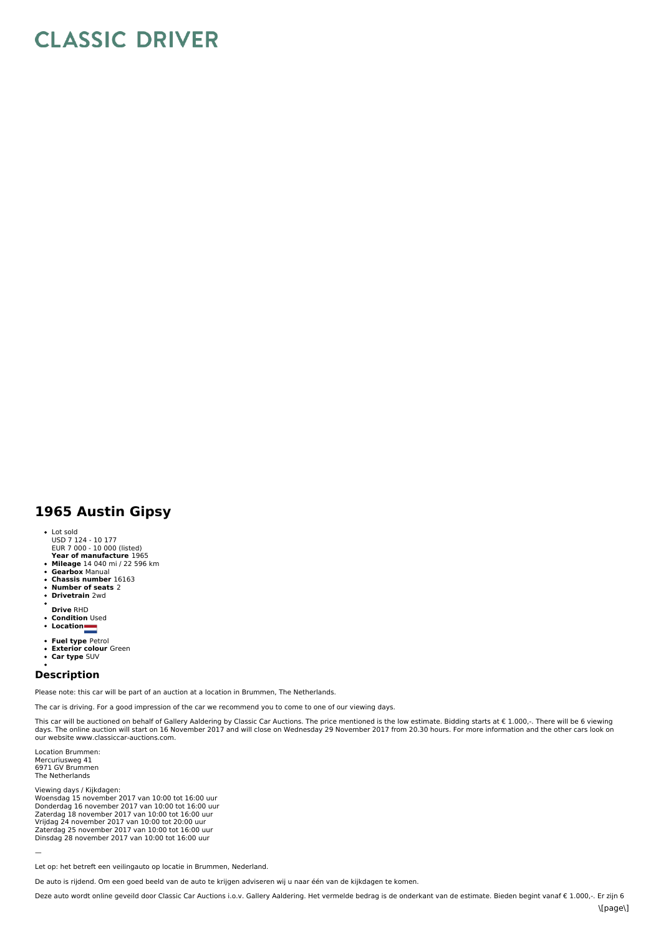## **CLASSIC DRIVER**

## **1965 Austin Gipsy**

- 
- Lot sold USD 7 124 10 177 EUR 7 000 10 000 (listed)
- 
- **Year of manufacture** 1965 **Mileage** 14 040 mi / 22 596 km
- **Gearbox** Manual
- $\ddot{\phantom{a}}$ **Chassis number** 16163
- $\ddot{\phantom{0}}$ **Number of seats** 2 **Drivetrain** 2wd
- 
- **Drive** RHD **Condition** Used
- $\ddot{\phantom{0}}$ **Location**
- 
- 
- **Fuel type** Petrol **Exterior colour** Green
- $\ddot{\phantom{a}}$ **Car type** SUV

## **Description**

Please note: this car will be part of an auction at a location in Brummen, The Netherlands.

The car is driving. For a good impression of the car we recommend you to come to one of our viewing days.

This car will be auctioned on behalf of Gallery Aaldering by Classic Car Auctions. The price mentioned is the low estimate. Bidding starts at € 1.000,-. There will be 6 viewing<br>days. The online auction will start on 16 No our website www.classiccar-auctions.com.

Location Brummen: Mercuriusweg 41 6971 GV Brummen The Netherlands

—

Viewing days / Kijkdagen:<br>Woensdag 15 november 2017 van 10:00 tot 16:00 uur Donderdag 16 november 2017 van 10:00 tot 16:00 uur<br>Zaterdag 18 november 2017 van 10:00 tot 16:00 uur<br>Vrijdag 24 november 2017 van 10:00 tot 20:00 uur<br>Zaterdag 25 november 2017 van 10:00 tot 16:00 uur<br>Dinsdag 28 november 20

Let op: het betreft een veilingauto op locatie in Brummen, Nederland.

De auto is rijdend. Om een goed beeld van de auto te krijgen adviseren wij u naar één van de kijkdagen te komen.

Deze auto wordt online geveild door Classic Car Auctions i.o.v. Gallery Aaldering. Het vermelde bedrag is de onderkant van de estimate. Bieden begint vanaf € 1.000,-. Er zijn 6